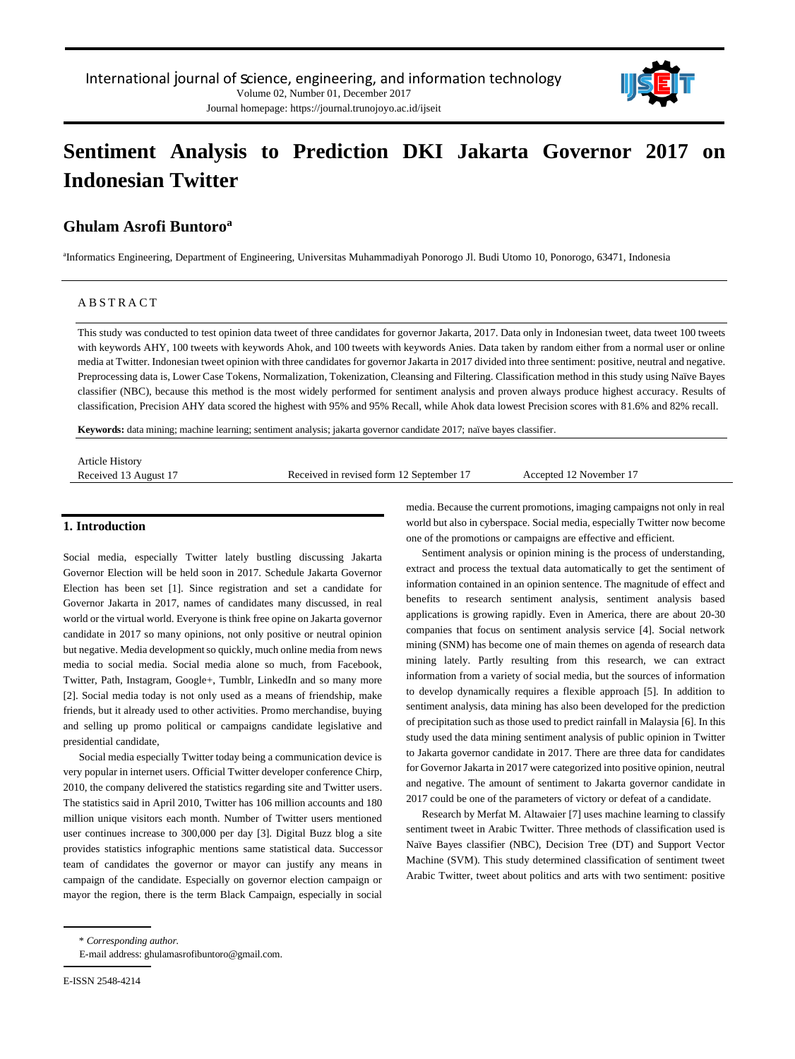

Journal homepage: https://journal.trunojoyo.ac.id/ijseit

# **Sentiment Analysis to Prediction DKI Jakarta Governor 2017 on Indonesian Twitter**

# **Ghulam Asrofi Buntoro<sup>a</sup>**

a Informatics Engineering, Department of Engineering, Universitas Muhammadiyah Ponorogo Jl. Budi Utomo 10, Ponorogo, 63471, Indonesia

## **ABSTRACT**

This study was conducted to test opinion data tweet of three candidates for governor Jakarta, 2017. Data only in Indonesian tweet, data tweet 100 tweets with keywords AHY, 100 tweets with keywords Ahok, and 100 tweets with keywords Anies. Data taken by random either from a normal user or online media at Twitter. Indonesian tweet opinion with three candidates for governor Jakarta in 2017 divided into three sentiment: positive, neutral and negative. Preprocessing data is, Lower Case Tokens, Normalization, Tokenization, Cleansing and Filtering. Classification method in this study using Naïve Bayes classifier (NBC), because this method is the most widely performed for sentiment analysis and proven always produce highest accuracy. Results of classification, Precision AHY data scored the highest with 95% and 95% Recall, while Ahok data lowest Precision scores with 81.6% and 82% recall.

**Keywords:** data mining; machine learning; sentiment analysis; jakarta governor candidate 2017; naïve bayes classifier.

| Article History       |                                          |                         |
|-----------------------|------------------------------------------|-------------------------|
| Received 13 August 17 | Received in revised form 12 September 17 | Accented 12 November 17 |
|                       |                                          |                         |

## **1. Introduction**

Social media, especially Twitter lately bustling discussing Jakarta Governor Election will be held soon in 2017. Schedule Jakarta Governor Election has been set [1]. Since registration and set a candidate for Governor Jakarta in 2017, names of candidates many discussed, in real world or the virtual world. Everyone is think free opine on Jakarta governor candidate in 2017 so many opinions, not only positive or neutral opinion but negative. Media development so quickly, much online media from news media to social media. Social media alone so much, from Facebook, Twitter, Path, Instagram, Google+, Tumblr, LinkedIn and so many more [2]. Social media today is not only used as a means of friendship, make friends, but it already used to other activities. Promo merchandise, buying and selling up promo political or campaigns candidate legislative and presidential candidate,

Social media especially Twitter today being a communication device is very popular in internet users. Official Twitter developer conference Chirp, 2010, the company delivered the statistics regarding site and Twitter users. The statistics said in April 2010, Twitter has 106 million accounts and 180 million unique visitors each month. Number of Twitter users mentioned user continues increase to 300,000 per day [3]. Digital Buzz blog a site provides statistics infographic mentions same statistical data. Successor team of candidates the governor or mayor can justify any means in campaign of the candidate. Especially on governor election campaign or mayor the region, there is the term Black Campaign, especially in social media. Because the current promotions, imaging campaigns not only in real world but also in cyberspace. Social media, especially Twitter now become one of the promotions or campaigns are effective and efficient.

Sentiment analysis or opinion mining is the process of understanding, extract and process the textual data automatically to get the sentiment of information contained in an opinion sentence. The magnitude of effect and benefits to research sentiment analysis, sentiment analysis based applications is growing rapidly. Even in America, there are about 20-30 companies that focus on sentiment analysis service [4]. Social network mining (SNM) has become one of main themes on agenda of research data mining lately. Partly resulting from this research, we can extract information from a variety of social media, but the sources of information to develop dynamically requires a flexible approach [5]. In addition to sentiment analysis, data mining has also been developed for the prediction of precipitation such as those used to predict rainfall in Malaysia [6]. In this study used the data mining sentiment analysis of public opinion in Twitter to Jakarta governor candidate in 2017. There are three data for candidates for Governor Jakarta in 2017 were categorized into positive opinion, neutral and negative. The amount of sentiment to Jakarta governor candidate in 2017 could be one of the parameters of victory or defeat of a candidate.

Research by Merfat M. Altawaier [7] uses machine learning to classify sentiment tweet in Arabic Twitter. Three methods of classification used is Naïve Bayes classifier (NBC), Decision Tree (DT) and Support Vector Machine (SVM). This study determined classification of sentiment tweet Arabic Twitter, tweet about politics and arts with two sentiment: positive

<sup>\*</sup> *Corresponding author.*

E-mail address: ghulamasrofibuntoro@gmail.com.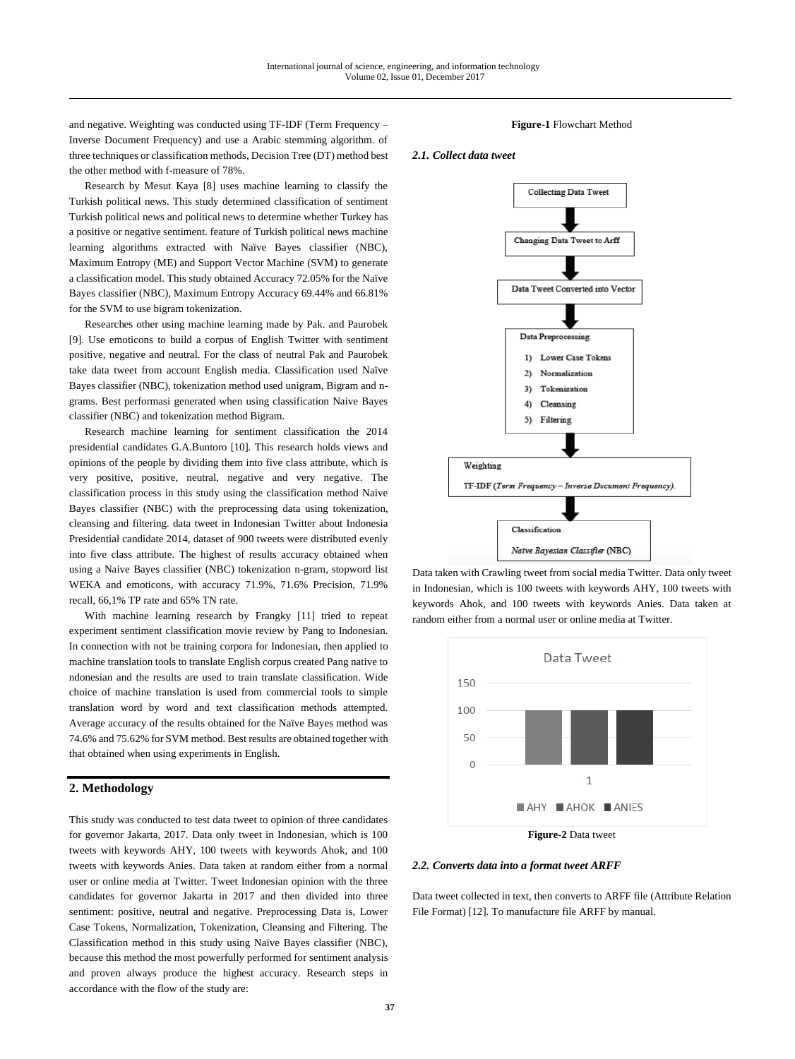and negative. Weighting was conducted using  $TF$ -IDF (Term Frequency – Inverse Document Frequency) and use a Arabic stemming algorithm. of three techniques or classification methods, Decision Tree (DT) method best the other method with f-measure of 78%.

Research by Mesut Kaya [8] uses machine learning to classify the Turkish political news. This study determined classification of sentiment Turkish political news and political news to determine whether Turkey has a positive or negative sentiment. feature of Turkish political news machine learning algorithms extracted with Naïve Bayes classifier (NBC), Maximum Entropy (ME) and Support Vector Machine (SVM) to generate a classification model. This study obtained Accuracy 72.05% for the Naïve Bayes classifier (NBC), Maximum Entropy Accuracy 69.44% and 66.81% for the SVM to use bigram tokenization.

Researches other using machine learning made by Pak. and Paurobek [9]. Use emoticons to build a corpus of English Twitter with sentiment positive, negative and neutral. For the class of neutral Pak and Paurobek take data tweet from account English media. Classification used Naïve Bayes classifier (NBC), tokenization method used unigram, Bigram and ngrams. Best performasi generated when using classification Naive Bayes classifier (NBC) and tokenization method Bigram.

Research machine learning for sentiment classification the 2014 presidential candidates G.A.Buntoro [10]. This research holds views and opinions of the people by dividing them into five class attribute, which is very positive, positive, neutral, negative and very negative. The classification process in this study using the classification method Naive Bayes classifier (NBC) with the preprocessing data using tokenization, cleansing and filtering. data tweet in Indonesian Twitter about Indonesia Presidential candidate 2014, dataset of 900 tweets were distributed evenly into five class attribute. The highest of results accuracy obtained when using a Naive Bayes classifier (NBC) tokenization n-gram, stopword list WEKA and emoticons, with accuracy 71.9%, 71.6% Precision, 71.9% recall, 66,1% TP rate and 65% TN rate.

With machine learning research by Frangky [11] tried to repeat experiment sentiment classification movie review by Pang to Indonesian. In connection with not be training corpora for Indonesian, then applied to machine translation tools to translate English corpus created Pang native to ndonesian and the results are used to train translate classification. Wide choice of machine translation is used from commercial tools to simple translation word by word and text classification methods attempted. Average accuracy of the results obtained for the Naïve Bayes method was 74.6% and 75.62% for SVM method. Best results are obtained together with that obtained when using experiments in English.

## **2. Methodology**

This study was conducted to test data tweet to opinion of three candidates for governor Jakarta, 2017. Data only tweet in Indonesian, which is 100 tweets with keywords AHY, 100 tweets with keywords Ahok, and 100 tweets with keywords Anies. Data taken at random either from a normal user or online media at Twitter. Tweet Indonesian opinion with the three candidates for governor Jakarta in 2017 and then divided into three sentiment: positive, neutral and negative. Preprocessing Data is, Lower Case Tokens, Normalization, Tokenization, Cleansing and Filtering. The Classification method in this study using Naïve Bayes classifier (NBC), because this method the most powerfully performed for sentiment analysis and proven always produce the highest accuracy. Research steps in accordance with the flow of the study are:

#### **Figure-1** Flowchart Method

#### *2.1. Collect data tweet*



Data taken with Crawling tweet from social media Twitter. Data only tweet in Indonesian, which is 100 tweets with keywords AHY, 100 tweets with keywords Ahok, and 100 tweets with keywords Anies. Data taken at random either from a normal user or online media at Twitter.



**Figure-2** Data tweet

#### *2.2. Converts data into a format tweet ARFF*

Data tweet collected in text, then converts to ARFF file (Attribute Relation File Format) [12]. To manufacture file ARFF by manual.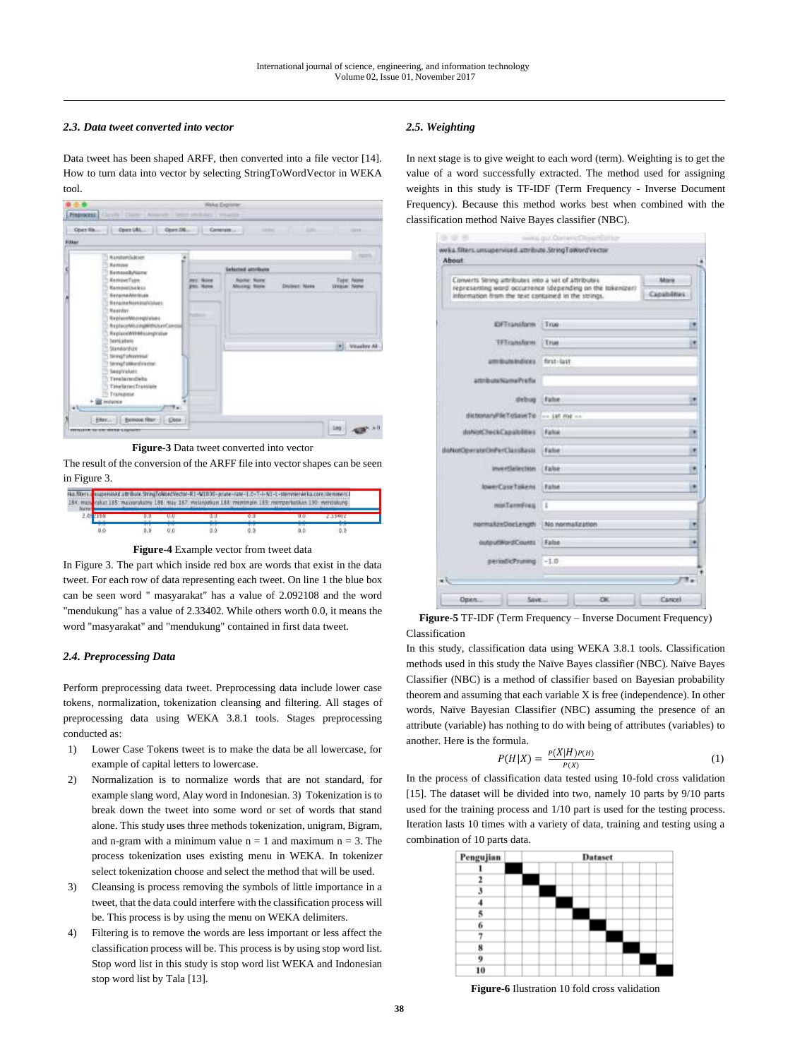## *2.3. Data tweet converted into vector*

Data tweet has been shaped ARFF, then converted into a file vector [14]. How to turn data into vector by selecting StringToWordVector in WEKA tool.



**Figure-3** Data tweet converted into vector

The result of the conversion of the ARFF file into vector shapes can be seen in Figure 3.

|                   |     |     |                   | kat 185: masyarakany 186: may 187: melanjutkan 188: memimpin 189: memperturikan 190: mendukung<br>A 2008 A 2011 FOR THE WAY TO BE A 2008 TO BE A 2009 TO BE A 2009 TO BE A 2009 TO BE A 2009 TO BE A 2009 TO BE |     |
|-------------------|-----|-----|-------------------|-----------------------------------------------------------------------------------------------------------------------------------------------------------------------------------------------------------------|-----|
|                   |     |     |                   | 0.0                                                                                                                                                                                                             |     |
| <b>MED</b><br>0.0 | 0.0 | 0.0 | <b>MTM</b><br>0.0 | 0.0                                                                                                                                                                                                             | 0.0 |



In Figure 3. The part which inside red box are words that exist in the data tweet. For each row of data representing each tweet. On line 1 the blue box can be seen word " masyarakat" has a value of 2.092108 and the word "mendukung" has a value of 2.33402. While others worth 0.0, it means the word "masyarakat" and "mendukung" contained in first data tweet.

## *2.4. Preprocessing Data*

Perform preprocessing data tweet. Preprocessing data include lower case tokens, normalization, tokenization cleansing and filtering. All stages of preprocessing data using WEKA 3.8.1 tools. Stages preprocessing conducted as:

- 1) Lower Case Tokens tweet is to make the data be all lowercase, for example of capital letters to lowercase.
- 2) Normalization is to normalize words that are not standard, for example slang word, Alay word in Indonesian. 3) Tokenization is to break down the tweet into some word or set of words that stand alone. This study uses three methods tokenization, unigram, Bigram, and n-gram with a minimum value  $n = 1$  and maximum  $n = 3$ . The process tokenization uses existing menu in WEKA. In tokenizer select tokenization choose and select the method that will be used.
- 3) Cleansing is process removing the symbols of little importance in a tweet, that the data could interfere with the classification process will be. This process is by using the menu on WEKA delimiters.
- 4) Filtering is to remove the words are less important or less affect the classification process will be. This process is by using stop word list. Stop word list in this study is stop word list WEKA and Indonesian stop word list by Tala [13].

## *2.5. Weighting*

In next stage is to give weight to each word (term). Weighting is to get the value of a word successfully extracted. The method used for assigning weights in this study is TF-IDF (Term Frequency - Inverse Document Frequency). Because this method works best when combined with the classification method Naive Bayes classifier (NBC).

| Converts String attributes into a set of attributes. | representing word occurrence (depending on the tokenizer) | Mora        |
|------------------------------------------------------|-----------------------------------------------------------|-------------|
| information from the text contained in the strings.  |                                                           | Capabilitas |
| <b>EXTransform</b>                                   | True:                                                     |             |
| <b>TFT</b> ransform                                  | Trust                                                     |             |
| ammunities.                                          | first-last                                                |             |
| amibutaNamaPrafia                                    |                                                           |             |
| debug                                                | <b>False</b>                                              |             |
| dictionaryF5eToSpieTo                                | the 140 Web are                                           |             |
| doNorChuckCapabditus                                 | Fahia                                                     |             |
| (foN05OperateOnForClassRass)                         | False:                                                    |             |
| invertisierzion.                                     | False                                                     |             |
| InserCaseTokens                                      | False.                                                    |             |
| minTermFres                                          | 1                                                         |             |
| normakzeDocLength No normakzation                    |                                                           |             |
| outputNordCounts False                               |                                                           |             |
| periodicPruning                                      | $-1.0$                                                    |             |

**Figure-5** TF-IDF (Term Frequency – Inverse Document Frequency) Classification

In this study, classification data using WEKA 3.8.1 tools. Classification methods used in this study the Naïve Bayes classifier (NBC). Naïve Bayes Classifier (NBC) is a method of classifier based on Bayesian probability theorem and assuming that each variable X is free (independence). In other words, Naïve Bayesian Classifier (NBC) assuming the presence of an attribute (variable) has nothing to do with being of attributes (variables) to another. Here is the formula.

$$
P(H|X) = \frac{P(X|H)P(H)}{P(X)}
$$
\n<sup>(1)</sup>

In the process of classification data tested using 10-fold cross validation [15]. The dataset will be divided into two, namely 10 parts by 9/10 parts used for the training process and 1/10 part is used for the testing process. Iteration lasts 10 times with a variety of data, training and testing using a combination of 10 parts data.



**Figure-6** Ilustration 10 fold cross validation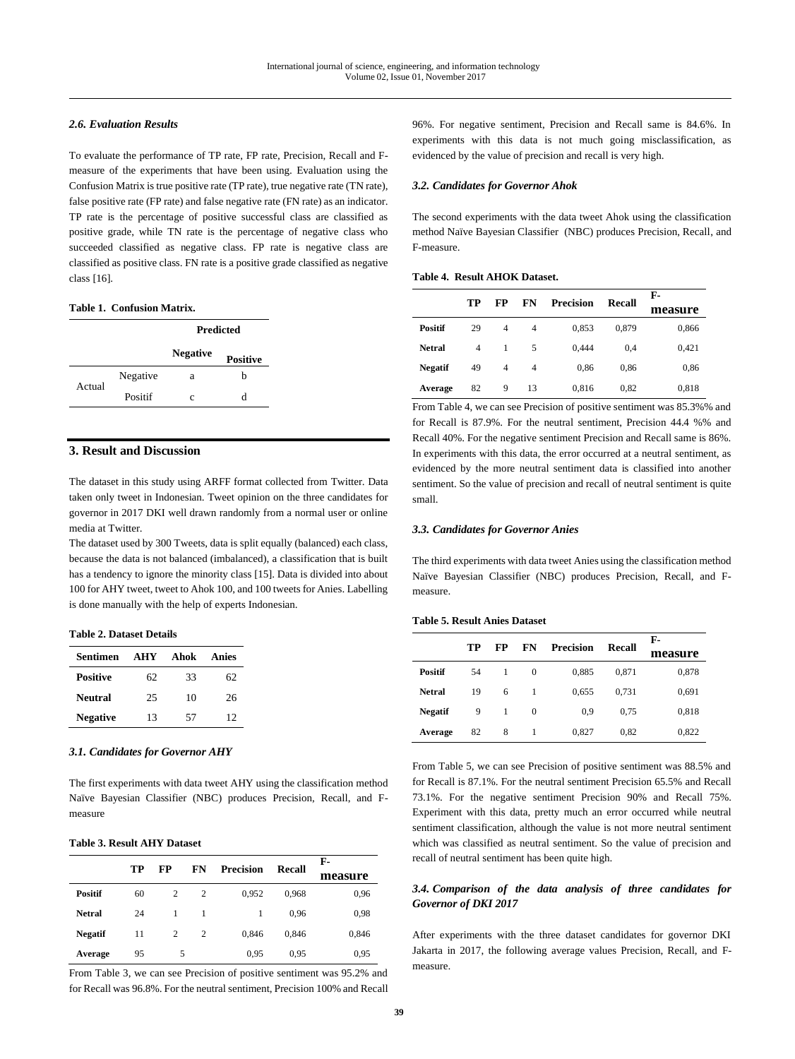## *2.6. Evaluation Results*

To evaluate the performance of TP rate, FP rate, Precision, Recall and Fmeasure of the experiments that have been using. Evaluation using the Confusion Matrix is true positive rate (TP rate), true negative rate (TN rate), false positive rate (FP rate) and false negative rate (FN rate) as an indicator. TP rate is the percentage of positive successful class are classified as positive grade, while TN rate is the percentage of negative class who succeeded classified as negative class. FP rate is negative class are classified as positive class. FN rate is a positive grade classified as negative class [16].

## **Table 1. Confusion Matrix.**

|        |          | <b>Predicted</b> |                 |  |
|--------|----------|------------------|-----------------|--|
|        |          | <b>Negative</b>  | <b>Positive</b> |  |
| Actual | Negative | a                | h               |  |
|        | Positif  | $\mathcal{C}$    | d               |  |

## **3. Result and Discussion**

The dataset in this study using ARFF format collected from Twitter. Data taken only tweet in Indonesian. Tweet opinion on the three candidates for governor in 2017 DKI well drawn randomly from a normal user or online media at Twitter.

The dataset used by 300 Tweets, data is split equally (balanced) each class, because the data is not balanced (imbalanced), a classification that is built has a tendency to ignore the minority class [15]. Data is divided into about 100 for AHY tweet, tweet to Ahok 100, and 100 tweets for Anies. Labelling is done manually with the help of experts Indonesian.

#### **Table 2. Dataset Details**

| Sentimen        | <b>AHY</b> | Ahok | Anies |
|-----------------|------------|------|-------|
| <b>Positive</b> | 62         | 33   | 62    |
| <b>Neutral</b>  | 25         | 10   | 26    |
| <b>Negative</b> | 13         | 57   | 12    |

#### *3.1. Candidates for Governor AHY*

The first experiments with data tweet AHY using the classification method Naïve Bayesian Classifier (NBC) produces Precision, Recall, and Fmeasure

## **Table 3. Result AHY Dataset**

|                | TР | FP             | FN             | <b>Precision</b> | Recall | F-      |
|----------------|----|----------------|----------------|------------------|--------|---------|
|                |    |                |                |                  |        | measure |
| <b>Positif</b> | 60 | $\overline{c}$ | $\overline{2}$ | 0.952            | 0.968  | 0.96    |
| <b>Netral</b>  | 24 | 1              | 1              |                  | 0.96   | 0,98    |
| <b>Negatif</b> | 11 | 2              | $\overline{c}$ | 0.846            | 0.846  | 0,846   |
| Average        | 95 | 5              |                | 0,95             | 0,95   | 0,95    |

From Table 3, we can see Precision of positive sentiment was 95.2% and for Recall was 96.8%. For the neutral sentiment, Precision 100% and Recall 96%. For negative sentiment, Precision and Recall same is 84.6%. In experiments with this data is not much going misclassification, as evidenced by the value of precision and recall is very high.

#### *3.2. Candidates for Governor Ahok*

The second experiments with the data tweet Ahok using the classification method Naïve Bayesian Classifier (NBC) produces Precision, Recall, and F-measure.

## **Table 4. Result AHOK Dataset.**

|                |    |    |                |                  |        | F-      |
|----------------|----|----|----------------|------------------|--------|---------|
|                | TР | FP | FN             | <b>Precision</b> | Recall | measure |
| <b>Positif</b> | 29 | 4  | $\overline{4}$ | 0,853            | 0,879  | 0,866   |
| <b>Netral</b>  | 4  | 1  | 5              | 0,444            | 0.4    | 0,421   |
| <b>Negatif</b> | 49 | 4  | 4              | 0,86             | 0,86   | 0,86    |
| Average        | 82 | 9  | 13             | 0,816            | 0,82   | 0,818   |

From Table 4, we can see Precision of positive sentiment was 85.3%% and for Recall is 87.9%. For the neutral sentiment, Precision 44.4 %% and Recall 40%. For the negative sentiment Precision and Recall same is 86%. In experiments with this data, the error occurred at a neutral sentiment, as evidenced by the more neutral sentiment data is classified into another sentiment. So the value of precision and recall of neutral sentiment is quite small.

#### *3.3. Candidates for Governor Anies*

The third experiments with data tweet Anies using the classification method Naïve Bayesian Classifier (NBC) produces Precision, Recall, and Fmeasure.

#### **Table 5. Result Anies Dataset**

|                |    |    |          |                  |               | F-      |
|----------------|----|----|----------|------------------|---------------|---------|
|                | TР | FP | FN       | <b>Precision</b> | <b>Recall</b> | measure |
| <b>Positif</b> | 54 |    | $\Omega$ | 0,885            | 0,871         | 0,878   |
| <b>Netral</b>  | 19 | 6  | 1        | 0.655            | 0.731         | 0,691   |
| <b>Negatif</b> | 9  |    | $\Omega$ | 0,9              | 0.75          | 0,818   |
| Average        | 82 | 8  | 1        | 0,827            | 0,82          | 0,822   |

From Table 5, we can see Precision of positive sentiment was 88.5% and for Recall is 87.1%. For the neutral sentiment Precision 65.5% and Recall 73.1%. For the negative sentiment Precision 90% and Recall 75%. Experiment with this data, pretty much an error occurred while neutral sentiment classification, although the value is not more neutral sentiment which was classified as neutral sentiment. So the value of precision and recall of neutral sentiment has been quite high.

## *3.4. Comparison of the data analysis of three candidates for Governor of DKI 2017*

After experiments with the three dataset candidates for governor DKI Jakarta in 2017, the following average values Precision, Recall, and Fmeasure.